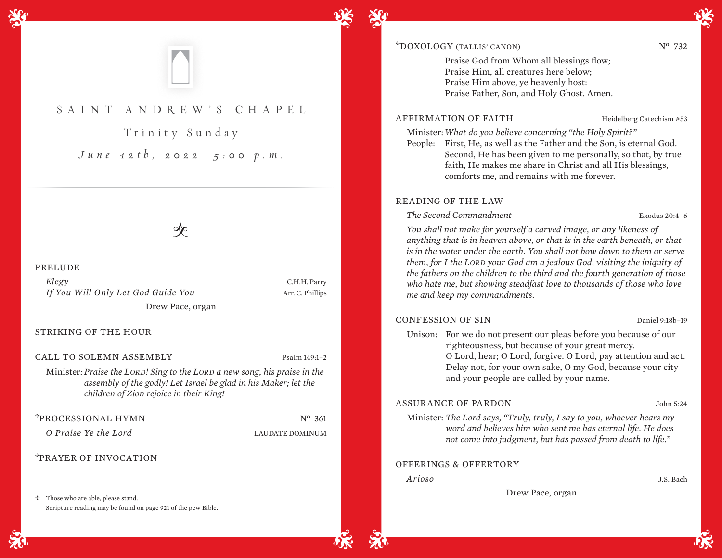

# SAINT ANDR EW'S CHAPEL

Trinity Sunday *June 12th, 2022 5:00 p.m.*

#### PRELUDE

*Elegy* C.H.H. Parry *If You Will Only Let God Guide You* Arr. C. Phillips Drew Pace, organ

STRIKING OF THE HOUR

CALL TO SOLEMN ASSEMBLY Psalm 149:1-2

Minister*: Praise the LORD! Sing to the LORD a new song, his praise in the assembly of the godly! Let Israel be glad in his Maker; let the children of Zion rejoice in their King!* 

\*PROCESSIONAL HYMN Nº 361

*O Praise Ye the Lord* LAUDATE DOMINUM

## <sup>E</sup>PRAYER OF INVOCATION

 $\div$  Those who are able, please stand. Scripture reading may be found on page 921 of the pew Bible.

# $\text{PONOLOGY (TALLIS' CANON)}$   $N^0$  732

Praise God from Whom all blessings flow; Praise Him, all creatures here below; Praise Him above, ye heavenly host: Praise Father, Son, and Holy Ghost. Amen.

### AFFIRMATION OF FAITH Heidelberg Catechism #53

Minister:*What do you believe concerning "the Holy Spirit?"*

People: First, He, as well as the Father and the Son, is eternal God. Second, He has been given to me personally, so that, by true faith, He makes me share in Christ and all His blessings, comforts me, and remains with me forever.

#### READING OF THE LAW

*The Second Commandment* Exodus 20:4–6

*You shall not make for yourself a carved image, or any likeness of anything that is in heaven above, or that is in the earth beneath, or that is in the water under the earth. You shall not bow down to them or serve them, for I the LORD your God am a jealous God, visiting the iniquity of the fathers on the children to the third and the fourth generation of those who hate me, but showing steadfast love to thousands of those who love me and keep my commandments.* 

#### CONFESSION OF SIN Daniel 9:18b–19

Unison: For we do not present our pleas before you because of our righteousness, but because of your great mercy. O Lord, hear; O Lord, forgive. O Lord, pay attention and act. Delay not, for your own sake, O my God, because your city and your people are called by your name.

#### ASSURANCE OF PARDON John 5:24

Minister: *The Lord says, "Truly, truly, I say to you, whoever hears my word and believes him who sent me has eternal life. He does not come into judgment, but has passed from death to life."*

#### OFFERINGS & OFFERTORY

*Arioso* J.S. Bach

Drew Pace, organ